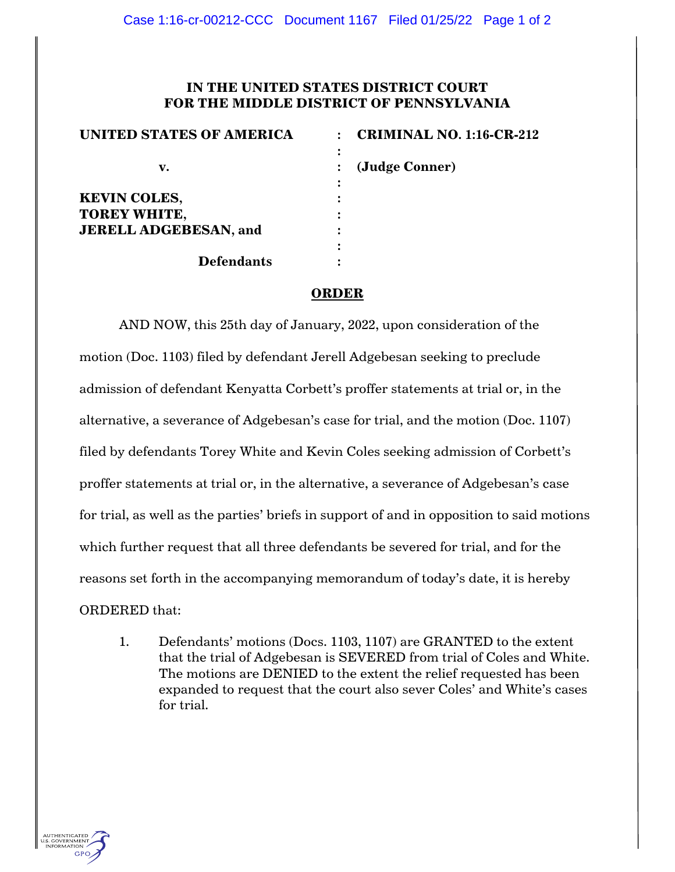## **IN THE UNITED STATES DISTRICT COURT FOR THE MIDDLE DISTRICT OF PENNSYLVANIA**

| <b>UNITED STATES OF AMERICA</b> | <b>CRIMINAL NO. 1:16-CR-212</b> |
|---------------------------------|---------------------------------|
| v.                              | :<br>(Judge Conner)             |
| <b>KEVIN COLES,</b>             |                                 |
| <b>TOREY WHITE,</b>             |                                 |
| <b>JERELL ADGEBESAN, and</b>    |                                 |
|                                 | ٠                               |
| <b>Defendants</b>               |                                 |

## **ORDER**

AND NOW, this 25th day of January, 2022, upon consideration of the motion (Doc. 1103) filed by defendant Jerell Adgebesan seeking to preclude admission of defendant Kenyatta Corbett's proffer statements at trial or, in the alternative, a severance of Adgebesan's case for trial, and the motion (Doc. 1107) filed by defendants Torey White and Kevin Coles seeking admission of Corbett's proffer statements at trial or, in the alternative, a severance of Adgebesan's case for trial, as well as the parties' briefs in support of and in opposition to said motions which further request that all three defendants be severed for trial, and for the reasons set forth in the accompanying memorandum of today's date, it is hereby ORDERED that:

1. Defendants' motions (Docs. 1103, 1107) are GRANTED to the extent that the trial of Adgebesan is SEVERED from trial of Coles and White. The motions are DENIED to the extent the relief requested has been expanded to request that the court also sever Coles' and White's cases for trial.